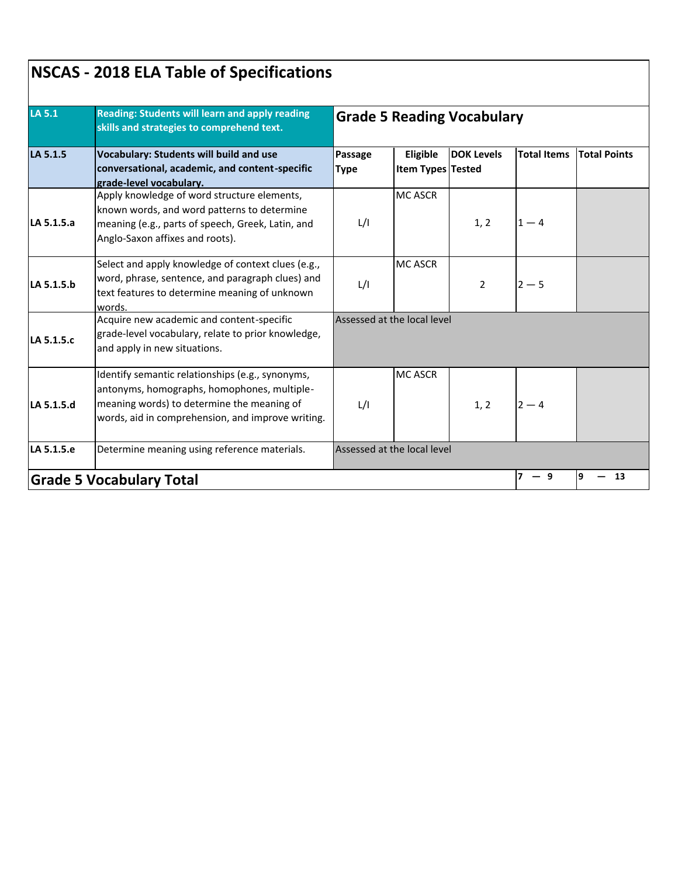| <b>LA 5.1</b> | Reading: Students will learn and apply reading<br>skills and strategies to comprehend text.<br><b>Vocabulary: Students will build and use</b><br>conversational, academic, and content-specific<br>grade-level vocabulary. | <b>Grade 5 Reading Vocabulary</b> |                               |                   |                    |                     |  |
|---------------|----------------------------------------------------------------------------------------------------------------------------------------------------------------------------------------------------------------------------|-----------------------------------|-------------------------------|-------------------|--------------------|---------------------|--|
| LA 5.1.5      |                                                                                                                                                                                                                            | Passage<br><b>Type</b>            | Eligible<br>Item Types Tested | <b>DOK Levels</b> | <b>Total Items</b> | <b>Total Points</b> |  |
| LA 5.1.5.a    | Apply knowledge of word structure elements,<br>known words, and word patterns to determine<br>meaning (e.g., parts of speech, Greek, Latin, and<br>Anglo-Saxon affixes and roots).                                         | L/I                               | <b>MC ASCR</b>                | 1, 2              | $1 - 4$            |                     |  |
| LA 5.1.5.b    | Select and apply knowledge of context clues (e.g.,<br>word, phrase, sentence, and paragraph clues) and<br>text features to determine meaning of unknown<br>words.                                                          | L/I                               | <b>MC ASCR</b>                | $\overline{2}$    | $2 - 5$            |                     |  |
| LA 5.1.5.c    | Acquire new academic and content-specific<br>grade-level vocabulary, relate to prior knowledge,<br>and apply in new situations.                                                                                            | Assessed at the local level       |                               |                   |                    |                     |  |
| LA 5.1.5.d    | Identify semantic relationships (e.g., synonyms,<br>antonyms, homographs, homophones, multiple-<br>meaning words) to determine the meaning of<br>words, aid in comprehension, and improve writing.                         | L/I                               | <b>MC ASCR</b>                | 1, 2              | $2 - 4$            |                     |  |
| LA 5.1.5.e    | Determine meaning using reference materials.                                                                                                                                                                               |                                   | Assessed at the local level   |                   |                    |                     |  |
|               | <b>Grade 5 Vocabulary Total</b>                                                                                                                                                                                            |                                   |                               |                   | $7 - 9$            | 19<br>13            |  |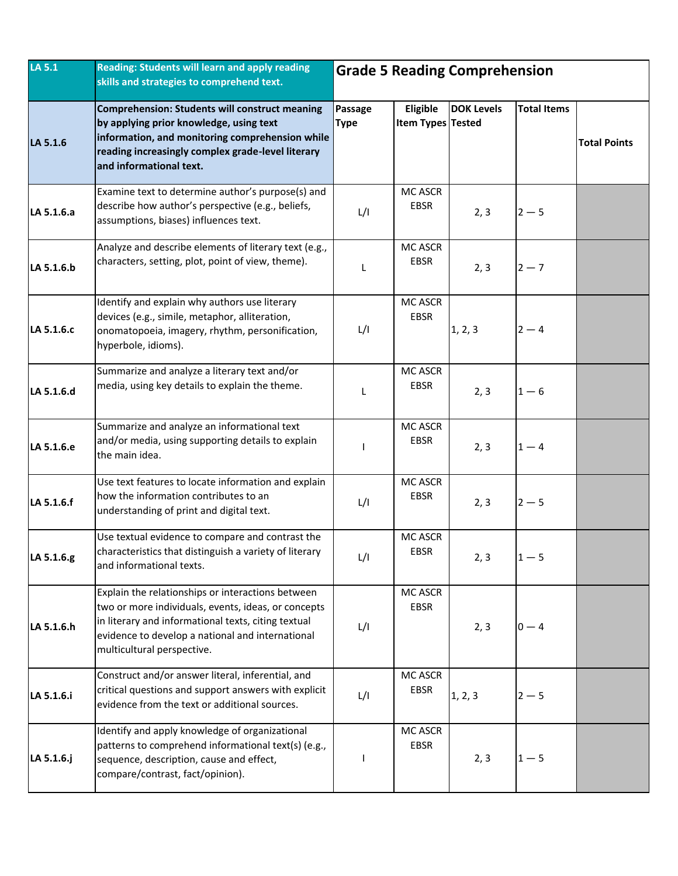| LA 5.1     | Reading: Students will learn and apply reading<br>skills and strategies to comprehend text.                                                                                                                                                       | <b>Grade 5 Reading Comprehension</b> |                                      |                   |                    |                     |
|------------|---------------------------------------------------------------------------------------------------------------------------------------------------------------------------------------------------------------------------------------------------|--------------------------------------|--------------------------------------|-------------------|--------------------|---------------------|
| LA 5.1.6   | Comprehension: Students will construct meaning<br>by applying prior knowledge, using text<br>information, and monitoring comprehension while<br>reading increasingly complex grade-level literary<br>and informational text.                      | Passage<br><b>Type</b>               | Eligible<br><b>Item Types Tested</b> | <b>DOK Levels</b> | <b>Total Items</b> | <b>Total Points</b> |
| LA 5.1.6.a | Examine text to determine author's purpose(s) and<br>describe how author's perspective (e.g., beliefs,<br>assumptions, biases) influences text.                                                                                                   | L/I                                  | MC ASCR<br>EBSR                      | 2, 3              | $2 - 5$            |                     |
| LA 5.1.6.b | Analyze and describe elements of literary text (e.g.,<br>characters, setting, plot, point of view, theme).                                                                                                                                        | L                                    | MC ASCR<br><b>EBSR</b>               | 2, 3              | $2 - 7$            |                     |
| LA 5.1.6.c | Identify and explain why authors use literary<br>devices (e.g., simile, metaphor, alliteration,<br>onomatopoeia, imagery, rhythm, personification,<br>hyperbole, idioms).                                                                         | L/I                                  | MC ASCR<br><b>EBSR</b>               | 1, 2, 3           | $2 - 4$            |                     |
| LA 5.1.6.d | Summarize and analyze a literary text and/or<br>media, using key details to explain the theme.                                                                                                                                                    | L                                    | MC ASCR<br><b>EBSR</b>               | 2, 3              | $1-6$              |                     |
| LA 5.1.6.e | Summarize and analyze an informational text<br>and/or media, using supporting details to explain<br>the main idea.                                                                                                                                |                                      | MC ASCR<br><b>EBSR</b>               | 2, 3              | $1 - 4$            |                     |
| LA 5.1.6.f | Use text features to locate information and explain<br>how the information contributes to an<br>understanding of print and digital text.                                                                                                          | L/I                                  | MC ASCR<br>EBSR                      | 2, 3              | $2 - 5$            |                     |
| LA 5.1.6.g | Use textual evidence to compare and contrast the<br>characteristics that distinguish a variety of literary<br>and informational texts.                                                                                                            | L/I                                  | MC ASCR<br><b>EBSR</b>               | 2, 3              | $1 - 5$            |                     |
| LA 5.1.6.h | Explain the relationships or interactions between<br>two or more individuals, events, ideas, or concepts<br>in literary and informational texts, citing textual<br>evidence to develop a national and international<br>multicultural perspective. | L/I                                  | MC ASCR<br>EBSR                      | 2, 3              | $0 - 4$            |                     |
| LA 5.1.6.i | Construct and/or answer literal, inferential, and<br>critical questions and support answers with explicit<br>evidence from the text or additional sources.                                                                                        | L/I                                  | MC ASCR<br><b>EBSR</b>               | 1, 2, 3           | $2 - 5$            |                     |
| LA 5.1.6.j | Identify and apply knowledge of organizational<br>patterns to comprehend informational text(s) (e.g.,<br>sequence, description, cause and effect,<br>compare/contrast, fact/opinion).                                                             |                                      | MC ASCR<br>EBSR                      | 2, 3              | $1 - 5$            |                     |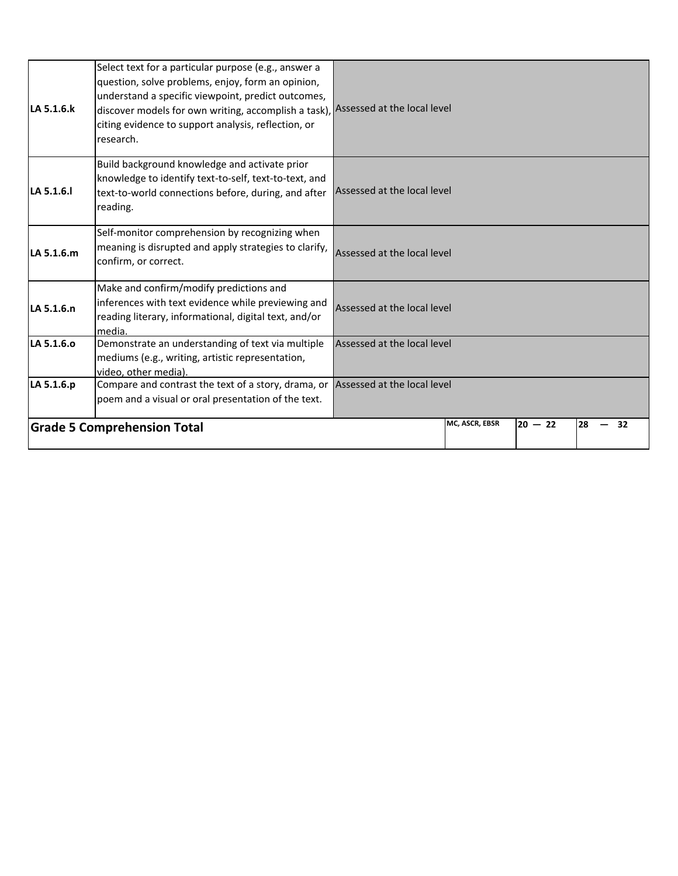|            | <b>Grade 5 Comprehension Total</b>                                                                                                                                                                                                                                                                                      |                             | MC, ASCR, EBSR | $20 - 22$ | 28<br>32 |  |
|------------|-------------------------------------------------------------------------------------------------------------------------------------------------------------------------------------------------------------------------------------------------------------------------------------------------------------------------|-----------------------------|----------------|-----------|----------|--|
| LA 5.1.6.p | Compare and contrast the text of a story, drama, or<br>poem and a visual or oral presentation of the text.                                                                                                                                                                                                              | Assessed at the local level |                |           |          |  |
| LA 5.1.6.0 | Demonstrate an understanding of text via multiple<br>mediums (e.g., writing, artistic representation,<br>video, other media).                                                                                                                                                                                           | Assessed at the local level |                |           |          |  |
| LA 5.1.6.n | Make and confirm/modify predictions and<br>inferences with text evidence while previewing and<br>reading literary, informational, digital text, and/or<br>media.                                                                                                                                                        | Assessed at the local level |                |           |          |  |
| LA 5.1.6.m | Self-monitor comprehension by recognizing when<br>meaning is disrupted and apply strategies to clarify,<br>confirm, or correct.                                                                                                                                                                                         | Assessed at the local level |                |           |          |  |
| LA 5.1.6.  | Build background knowledge and activate prior<br>knowledge to identify text-to-self, text-to-text, and<br>text-to-world connections before, during, and after<br>reading.                                                                                                                                               | Assessed at the local level |                |           |          |  |
| LA 5.1.6.k | Select text for a particular purpose (e.g., answer a<br>question, solve problems, enjoy, form an opinion,<br>understand a specific viewpoint, predict outcomes,<br>discover models for own writing, accomplish a task), Assessed at the local level<br>citing evidence to support analysis, reflection, or<br>research. |                             |                |           |          |  |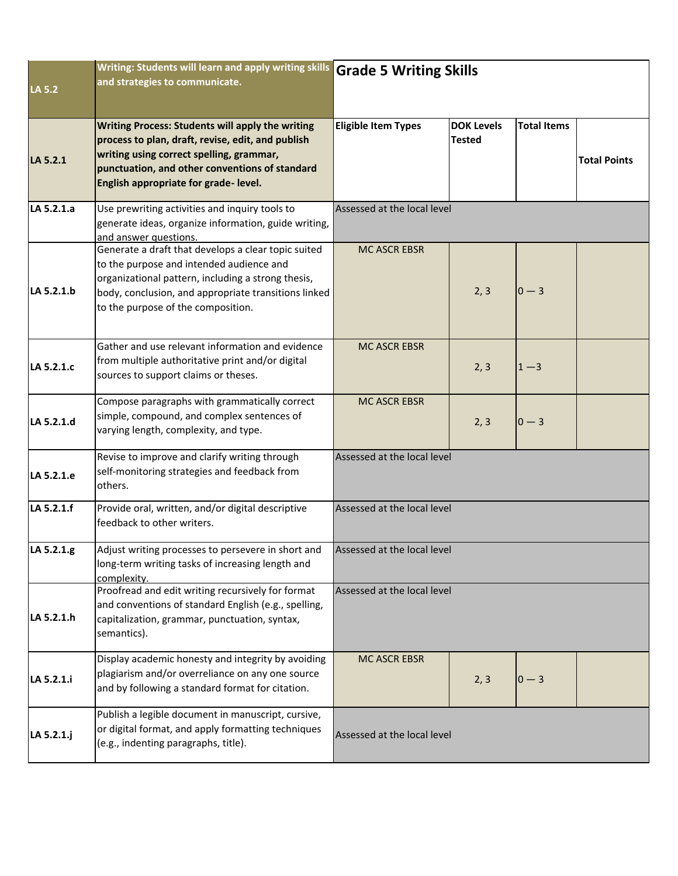| LA 5.2     | Writing: Students will learn and apply writing skills Grade 5 Writing Skills<br>and strategies to communicate.                                                                                                                                      |                             |                                    |                    |                     |  |  |
|------------|-----------------------------------------------------------------------------------------------------------------------------------------------------------------------------------------------------------------------------------------------------|-----------------------------|------------------------------------|--------------------|---------------------|--|--|
| LA 5.2.1   | <b>Writing Process: Students will apply the writing</b><br>process to plan, draft, revise, edit, and publish<br>writing using correct spelling, grammar,<br>punctuation, and other conventions of standard<br>English appropriate for grade-level.  | <b>Eligible Item Types</b>  | <b>DOK Levels</b><br><b>Tested</b> | <b>Total Items</b> | <b>Total Points</b> |  |  |
| LA 5.2.1.a | Use prewriting activities and inquiry tools to<br>generate ideas, organize information, guide writing,<br>and answer questions.                                                                                                                     | Assessed at the local level |                                    |                    |                     |  |  |
| LA 5.2.1.b | Generate a draft that develops a clear topic suited<br>to the purpose and intended audience and<br>organizational pattern, including a strong thesis,<br>body, conclusion, and appropriate transitions linked<br>to the purpose of the composition. | <b>MC ASCR EBSR</b>         | 2, 3                               | $0 - 3$            |                     |  |  |
| LA 5.2.1.c | Gather and use relevant information and evidence<br>from multiple authoritative print and/or digital<br>sources to support claims or theses.                                                                                                        | <b>MC ASCR EBSR</b>         | 2, 3                               | $1 - 3$            |                     |  |  |
| LA 5.2.1.d | Compose paragraphs with grammatically correct<br>simple, compound, and complex sentences of<br>varying length, complexity, and type.                                                                                                                | <b>MC ASCR EBSR</b>         | 2, 3                               | $0 - 3$            |                     |  |  |
| LA 5.2.1.e | Revise to improve and clarify writing through<br>self-monitoring strategies and feedback from<br>others.                                                                                                                                            | Assessed at the local level |                                    |                    |                     |  |  |
| LA 5.2.1.f | Provide oral, written, and/or digital descriptive<br>feedback to other writers.                                                                                                                                                                     | Assessed at the local level |                                    |                    |                     |  |  |
| LA 5.2.1.g | Adjust writing processes to persevere in short and<br>long-term writing tasks of increasing length and<br>complexity.                                                                                                                               | Assessed at the local level |                                    |                    |                     |  |  |
| LA 5.2.1.h | Proofread and edit writing recursively for format<br>and conventions of standard English (e.g., spelling,<br>capitalization, grammar, punctuation, syntax,<br>semantics).                                                                           | Assessed at the local level |                                    |                    |                     |  |  |
| LA 5.2.1.i | Display academic honesty and integrity by avoiding<br>plagiarism and/or overreliance on any one source<br>and by following a standard format for citation.                                                                                          | <b>MC ASCR EBSR</b>         | 2, 3                               | $0 - 3$            |                     |  |  |
| LA 5.2.1.j | Publish a legible document in manuscript, cursive,<br>or digital format, and apply formatting techniques<br>(e.g., indenting paragraphs, title).                                                                                                    | Assessed at the local level |                                    |                    |                     |  |  |